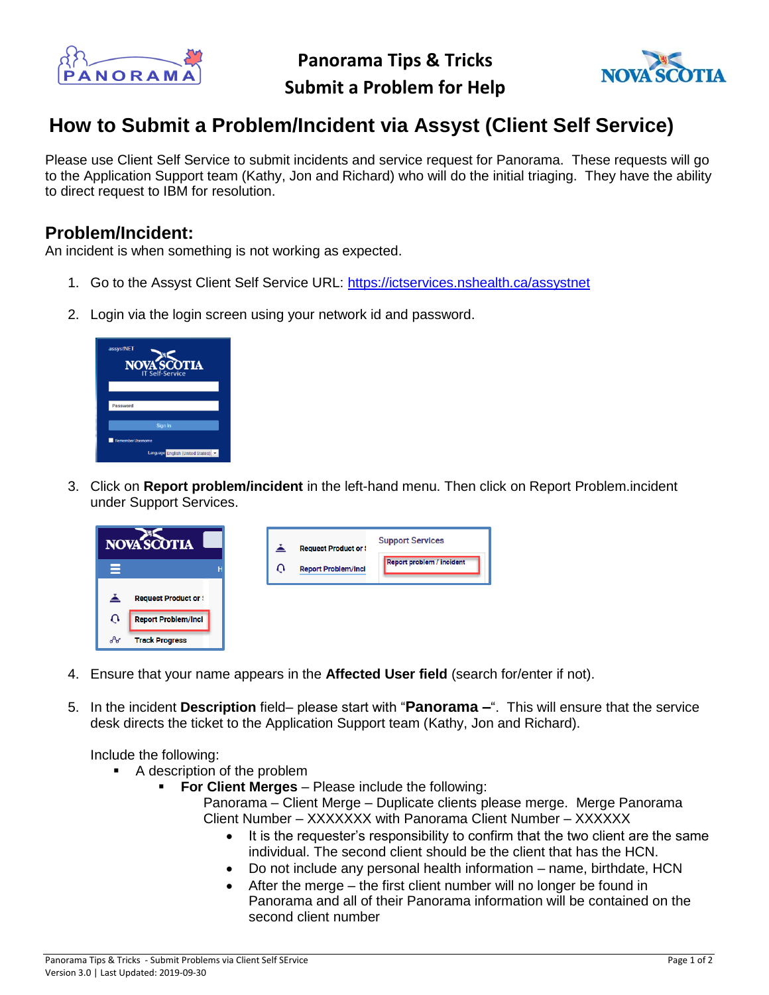

**Panorama Tips & Tricks Submit a Problem for Help**



## **How to Submit a Problem/Incident via Assyst (Client Self Service)**

Please use Client Self Service to submit incidents and service request for Panorama. These requests will go to the Application Support team (Kathy, Jon and Richard) who will do the initial triaging. They have the ability to direct request to IBM for resolution.

## **Problem/Incident:**

An incident is when something is not working as expected.

- 1. Go to the Assyst Client Self Service URL:<https://ictservices.nshealth.ca/assystnet>
- 2. Login via the login screen using your network id and password.



3. Click on **Report problem/incident** in the left-hand menu. Then click on Report Problem.incident under Support Services.



- 4. Ensure that your name appears in the **Affected User field** (search for/enter if not).
- 5. In the incident **Description** field– please start with "**Panorama –**". This will ensure that the service desk directs the ticket to the Application Support team (Kathy, Jon and Richard).

Include the following:

- A description of the problem
	- **For Client Merges** Please include the following:

Panorama – Client Merge – Duplicate clients please merge. Merge Panorama Client Number – XXXXXXX with Panorama Client Number – XXXXXX

- It is the requester's responsibility to confirm that the two client are the same individual. The second client should be the client that has the HCN.
- Do not include any personal health information name, birthdate, HCN
- After the merge the first client number will no longer be found in Panorama and all of their Panorama information will be contained on the second client number